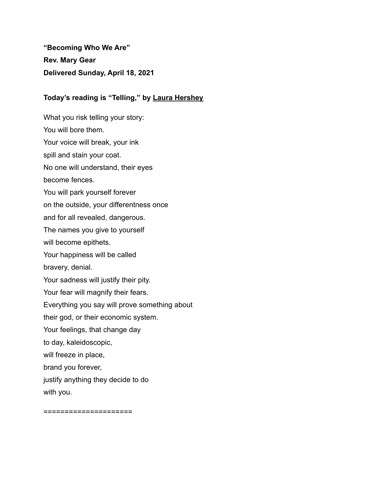**"Becoming Who We Are" Rev. Mary Gear Delivered Sunday, April 18, 2021**

## **Today's reading is "Telling," by [Laura Hershey](https://www.uua.org/offices/people/laura-hershey)**

What you risk telling your story: You will bore them. Your voice will break, your ink spill and stain your coat. No one will understand, their eyes become fences. You will park yourself forever on the outside, your differentness once and for all revealed, dangerous. The names you give to yourself will become epithets. Your happiness will be called bravery, denial. Your sadness will justify their pity. Your fear will magnify their fears. Everything you say will prove something about their god, or their economic system. Your feelings, that change day to day, kaleidoscopic, will freeze in place, brand you forever, justify anything they decide to do with you.

=====================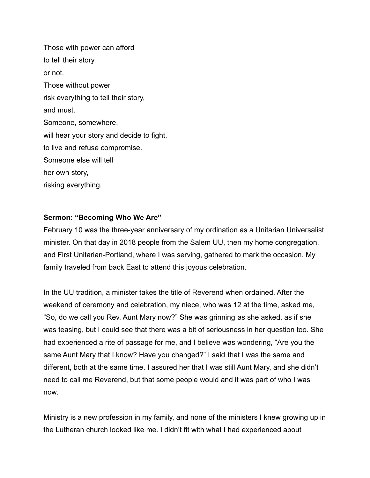Those with power can afford to tell their story or not. Those without power risk everything to tell their story, and must. Someone, somewhere, will hear your story and decide to fight, to live and refuse compromise. Someone else will tell her own story, risking everything.

## **Sermon: "Becoming Who We Are"**

February 10 was the three-year anniversary of my ordination as a Unitarian Universalist minister. On that day in 2018 people from the Salem UU, then my home congregation, and First Unitarian-Portland, where I was serving, gathered to mark the occasion. My family traveled from back East to attend this joyous celebration.

In the UU tradition, a minister takes the title of Reverend when ordained. After the weekend of ceremony and celebration, my niece, who was 12 at the time, asked me, "So, do we call you Rev. Aunt Mary now?" She was grinning as she asked, as if she was teasing, but I could see that there was a bit of seriousness in her question too. She had experienced a rite of passage for me, and I believe was wondering, "Are you the same Aunt Mary that I know? Have you changed?" I said that I was the same and different, both at the same time. I assured her that I was still Aunt Mary, and she didn't need to call me Reverend, but that some people would and it was part of who I was now.

Ministry is a new profession in my family, and none of the ministers I knew growing up in the Lutheran church looked like me. I didn't fit with what I had experienced about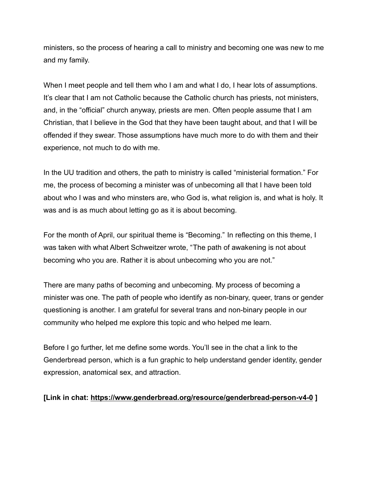ministers, so the process of hearing a call to ministry and becoming one was new to me and my family.

When I meet people and tell them who I am and what I do, I hear lots of assumptions. It's clear that I am not Catholic because the Catholic church has priests, not ministers, and, in the "official" church anyway, priests are men. Often people assume that I am Christian, that I believe in the God that they have been taught about, and that I will be offended if they swear. Those assumptions have much more to do with them and their experience, not much to do with me.

In the UU tradition and others, the path to ministry is called "ministerial formation." For me, the process of becoming a minister was of unbecoming all that I have been told about who I was and who minsters are, who God is, what religion is, and what is holy. It was and is as much about letting go as it is about becoming.

For the month of April, our spiritual theme is "Becoming." In reflecting on this theme, I was taken with what Albert Schweitzer wrote, "The path of awakening is not about becoming who you are. Rather it is about unbecoming who you are not."

There are many paths of becoming and unbecoming. My process of becoming a minister was one. The path of people who identify as non-binary, queer, trans or gender questioning is another. I am grateful for several trans and non-binary people in our community who helped me explore this topic and who helped me learn.

Before I go further, let me define some words. You'll see in the chat a link to the Genderbread person, which is a fun graphic to help understand gender identity, gender expression, anatomical sex, and attraction.

## **[Link in chat: <https://www.genderbread.org/resource/genderbread-person-v4-0> ]**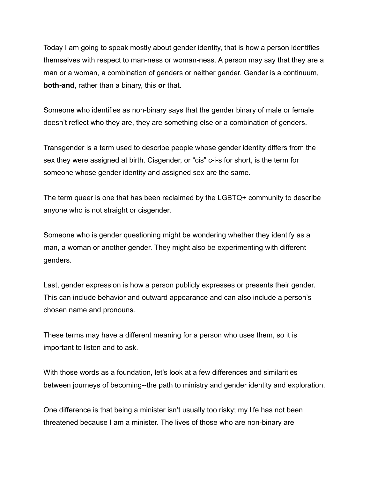Today I am going to speak mostly about gender identity, that is how a person identifies themselves with respect to man-ness or woman-ness. A person may say that they are a man or a woman, a combination of genders or neither gender. Gender is a continuum, **both-and**, rather than a binary, this **or** that.

Someone who identifies as non-binary says that the gender binary of male or female doesn't reflect who they are, they are something else or a combination of genders.

Transgender is a term used to describe people whose gender identity differs from the sex they were assigned at birth. Cisgender, or "cis" c-i-s for short, is the term for someone whose gender identity and assigned sex are the same.

The term queer is one that has been reclaimed by the LGBTQ+ community to describe anyone who is not straight or cisgender.

Someone who is gender questioning might be wondering whether they identify as a man, a woman or another gender. They might also be experimenting with different genders.

Last, gender expression is how a person publicly expresses or presents their gender. This can include behavior and outward appearance and can also include a person's chosen name and pronouns.

These terms may have a different meaning for a person who uses them, so it is important to listen and to ask.

With those words as a foundation, let's look at a few differences and similarities between journeys of becoming--the path to ministry and gender identity and exploration.

One difference is that being a minister isn't usually too risky; my life has not been threatened because I am a minister. The lives of those who are non-binary are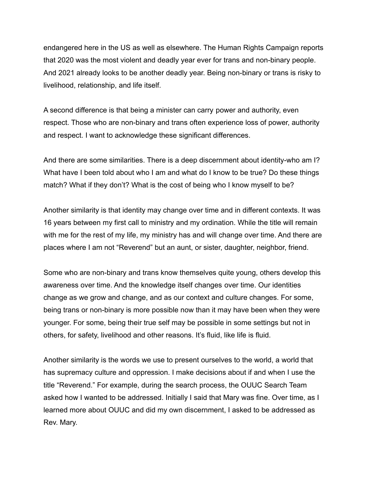endangered here in the US as well as elsewhere. The Human Rights Campaign reports that 2020 was the most violent and deadly year ever for trans and non-binary people. And 2021 already looks to be another deadly year. Being non-binary or trans is risky to livelihood, relationship, and life itself.

A second difference is that being a minister can carry power and authority, even respect. Those who are non-binary and trans often experience loss of power, authority and respect. I want to acknowledge these significant differences.

And there are some similarities. There is a deep discernment about identity-who am I? What have I been told about who I am and what do I know to be true? Do these things match? What if they don't? What is the cost of being who I know myself to be?

Another similarity is that identity may change over time and in different contexts. It was 16 years between my first call to ministry and my ordination. While the title will remain with me for the rest of my life, my ministry has and will change over time. And there are places where I am not "Reverend" but an aunt, or sister, daughter, neighbor, friend.

Some who are non-binary and trans know themselves quite young, others develop this awareness over time. And the knowledge itself changes over time. Our identities change as we grow and change, and as our context and culture changes. For some, being trans or non-binary is more possible now than it may have been when they were younger. For some, being their true self may be possible in some settings but not in others, for safety, livelihood and other reasons. It's fluid, like life is fluid.

Another similarity is the words we use to present ourselves to the world, a world that has supremacy culture and oppression. I make decisions about if and when I use the title "Reverend." For example, during the search process, the OUUC Search Team asked how I wanted to be addressed. Initially I said that Mary was fine. Over time, as I learned more about OUUC and did my own discernment, I asked to be addressed as Rev. Mary.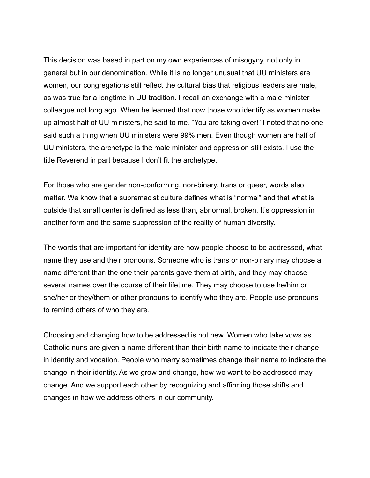This decision was based in part on my own experiences of misogyny, not only in general but in our denomination. While it is no longer unusual that UU ministers are women, our congregations still reflect the cultural bias that religious leaders are male, as was true for a longtime in UU tradition. I recall an exchange with a male minister colleague not long ago. When he learned that now those who identify as women make up almost half of UU ministers, he said to me, "You are taking over!" I noted that no one said such a thing when UU ministers were 99% men. Even though women are half of UU ministers, the archetype is the male minister and oppression still exists. I use the title Reverend in part because I don't fit the archetype.

For those who are gender non-conforming, non-binary, trans or queer, words also matter. We know that a supremacist culture defines what is "normal" and that what is outside that small center is defined as less than, abnormal, broken. It's oppression in another form and the same suppression of the reality of human diversity.

The words that are important for identity are how people choose to be addressed, what name they use and their pronouns. Someone who is trans or non-binary may choose a name different than the one their parents gave them at birth, and they may choose several names over the course of their lifetime. They may choose to use he/him or she/her or they/them or other pronouns to identify who they are. People use pronouns to remind others of who they are.

Choosing and changing how to be addressed is not new. Women who take vows as Catholic nuns are given a name different than their birth name to indicate their change in identity and vocation. People who marry sometimes change their name to indicate the change in their identity. As we grow and change, how we want to be addressed may change. And we support each other by recognizing and affirming those shifts and changes in how we address others in our community.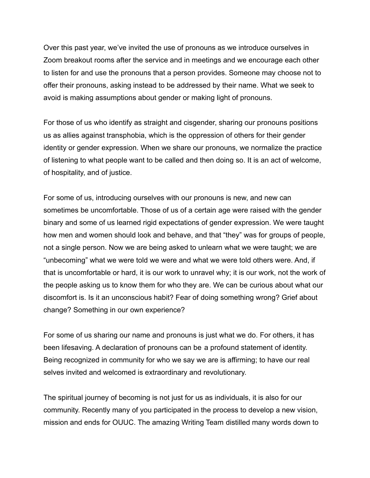Over this past year, we've invited the use of pronouns as we introduce ourselves in Zoom breakout rooms after the service and in meetings and we encourage each other to listen for and use the pronouns that a person provides. Someone may choose not to offer their pronouns, asking instead to be addressed by their name. What we seek to avoid is making assumptions about gender or making light of pronouns.

For those of us who identify as straight and cisgender, sharing our pronouns positions us as allies against transphobia, which is the oppression of others for their gender identity or gender expression. When we share our pronouns, we normalize the practice of listening to what people want to be called and then doing so. It is an act of welcome, of hospitality, and of justice.

For some of us, introducing ourselves with our pronouns is new, and new can sometimes be uncomfortable. Those of us of a certain age were raised with the gender binary and some of us learned rigid expectations of gender expression. We were taught how men and women should look and behave, and that "they" was for groups of people, not a single person. Now we are being asked to unlearn what we were taught; we are "unbecoming" what we were told we were and what we were told others were. And, if that is uncomfortable or hard, it is our work to unravel why; it is our work, not the work of the people asking us to know them for who they are. We can be curious about what our discomfort is. Is it an unconscious habit? Fear of doing something wrong? Grief about change? Something in our own experience?

For some of us sharing our name and pronouns is just what we do. For others, it has been lifesaving. A declaration of pronouns can be a profound statement of identity. Being recognized in community for who we say we are is affirming; to have our real selves invited and welcomed is extraordinary and revolutionary.

The spiritual journey of becoming is not just for us as individuals, it is also for our community. Recently many of you participated in the process to develop a new vision, mission and ends for OUUC. The amazing Writing Team distilled many words down to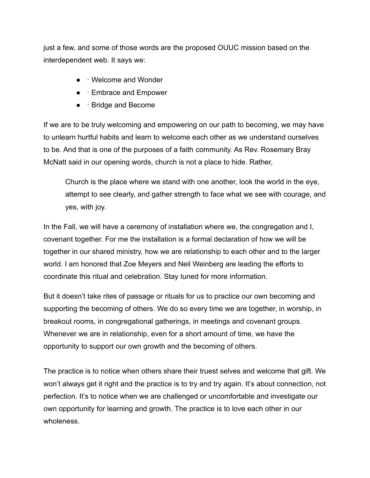just a few, and some of those words are the proposed OUUC mission based on the interdependent web. It says we:

- **· Welcome and Wonder**
- · Embrace and Empower
- · Bridge and Become

If we are to be truly welcoming and empowering on our path to becoming, we may have to unlearn hurtful habits and learn to welcome each other as we understand ourselves to be. And that is one of the purposes of a faith community. As Rev. Rosemary Bray McNatt said in our opening words, church is not a place to hide. Rather,

Church is the place where we stand with one another, look the world in the eye, attempt to see clearly, and gather strength to face what we see with courage, and yes, with joy.

In the Fall, we will have a ceremony of installation where we, the congregation and I, covenant together. For me the installation is a formal declaration of how we will be together in our shared ministry, how we are relationship to each other and to the larger world. I am honored that Zoe Meyers and Neil Weinberg are leading the efforts to coordinate this ritual and celebration. Stay tuned for more information.

But it doesn't take rites of passage or rituals for us to practice our own becoming and supporting the becoming of others. We do so every time we are together, in worship, in breakout rooms, in congregational gatherings, in meetings and covenant groups. Whenever we are in relationship, even for a short amount of time, we have the opportunity to support our own growth and the becoming of others.

The practice is to notice when others share their truest selves and welcome that gift. We won't always get it right and the practice is to try and try again. It's about connection, not perfection. It's to notice when we are challenged or uncomfortable and investigate our own opportunity for learning and growth. The practice is to love each other in our wholeness.